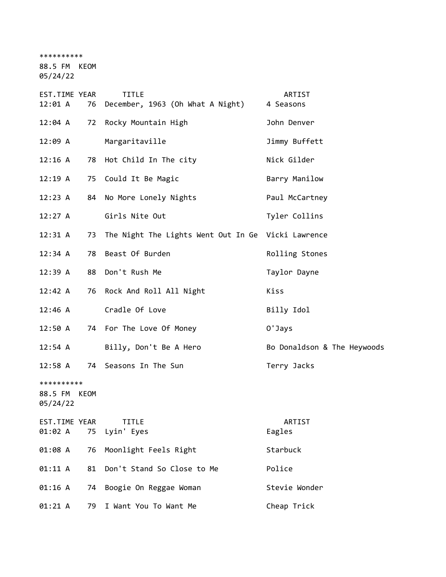\*\*\*\*\*\*\*\*\*\*

88.5 FM KEOM

05/24/22

| EST.TIME YEAR<br>12:01 A               | 76 | <b>TITLE</b><br>December, 1963 (Oh What A Night)   | ARTIST<br>4 Seasons         |
|----------------------------------------|----|----------------------------------------------------|-----------------------------|
| 12:04 A                                | 72 | Rocky Mountain High                                | John Denver                 |
| 12:09 A                                |    | Margaritaville                                     | Jimmy Buffett               |
| 12:16 A                                |    | 78 Hot Child In The city                           | Nick Gilder                 |
| 12:19 A                                |    | 75 Could It Be Magic                               | Barry Manilow               |
| 12:23 A                                | 84 | No More Lonely Nights                              | Paul McCartney              |
| 12:27 A                                |    | Girls Nite Out                                     | Tyler Collins               |
| 12:31 A                                | 73 | The Night The Lights Went Out In Ge Vicki Lawrence |                             |
| 12:34 A                                | 78 | Beast Of Burden                                    | Rolling Stones              |
| 12:39 A                                | 88 | Don't Rush Me                                      | Taylor Dayne                |
| 12:42 A                                |    | 76 Rock And Roll All Night                         | Kiss                        |
| $12:46$ A                              |    | Cradle Of Love                                     | Billy Idol                  |
| 12:50 A                                |    | 74 For The Love Of Money                           | 0'Jays                      |
| 12:54 A                                |    | Billy, Don't Be A Hero                             | Bo Donaldson & The Heywoods |
| 12:58 A                                |    | 74 Seasons In The Sun                              | Terry Jacks                 |
| **********<br>88.5 FM KEOM<br>05/24/22 |    |                                                    |                             |
| EST.TIME YEAR<br>01:02 A               | 75 | <b>TITLE</b><br>Lyin' Eyes                         | ARTIST<br>Eagles            |
| 01:08 A                                | 76 | Moonlight Feels Right                              | Starbuck                    |
| 01:11 A                                | 81 | Don't Stand So Close to Me                         | Police                      |
| 01:16 A                                | 74 | Boogie On Reggae Woman                             | Stevie Wonder               |
| 01:21 A                                | 79 | I Want You To Want Me                              | Cheap Trick                 |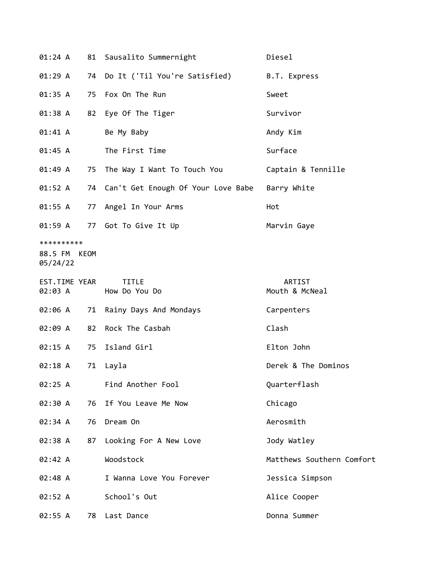| 01:24 A                           |      | 81 Sausalito Summernight              | Diesel                    |
|-----------------------------------|------|---------------------------------------|---------------------------|
| 01:29 A                           |      | 74 Do It ('Til You're Satisfied)      | B.T. Express              |
| 01:35 A                           |      | 75 Fox On The Run                     | Sweet                     |
| 01:38 A                           | 82   | Eye Of The Tiger                      | Survivor                  |
| 01:41 A                           |      | Be My Baby                            | Andy Kim                  |
| 01:45 A                           |      | The First Time                        | Surface                   |
| 01:49 A                           |      | 75 The Way I Want To Touch You        | Captain & Tennille        |
| 01:52 A                           |      | 74 Can't Get Enough Of Your Love Babe | Barry White               |
| 01:55 A                           |      | 77 Angel In Your Arms                 | Hot                       |
| 01:59 A                           |      | 77 Got To Give It Up                  | Marvin Gaye               |
| **********<br>88.5 FM<br>05/24/22 | KEOM |                                       |                           |
| EST.TIME YEAR<br>02:03 A          |      | <b>TITLE</b><br>How Do You Do         | ARTIST<br>Mouth & McNeal  |
| 02:06 A                           | 71   | Rainy Days And Mondays                | Carpenters                |
| 02:09 A                           | 82   | Rock The Casbah                       | Clash                     |
| 02:15 A                           | 75   | Island Girl                           | Elton John                |
| 02:18 A                           | 71   | Layla                                 | Derek & The Dominos       |
| 02:25 A                           |      | Find Another Fool                     | Quarterflash              |
| 02:30 A                           | 76   | If You Leave Me Now                   | Chicago                   |
| 02:34 A                           | 76   | Dream On                              | Aerosmith                 |
| 02:38 A                           | 87   | Looking For A New Love                | Jody Watley               |
| 02:42 A                           |      | Woodstock                             | Matthews Southern Comfort |
| 02:48 A                           |      | I Wanna Love You Forever              | Jessica Simpson           |
| 02:52 A                           |      | School's Out                          | Alice Cooper              |
| 02:55 A                           | 78   | Last Dance                            | Donna Summer              |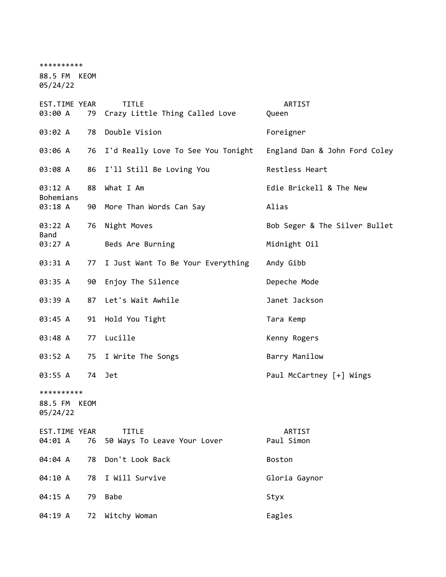\*\*\*\*\*\*\*\*\*\* 88.5 FM KEOM 05/24/22

| EST.TIME YEAR<br>03:00 A               |    | <b>TITLE</b><br>79 Crazy Little Thing Called Love | ARTIST<br>Queen               |
|----------------------------------------|----|---------------------------------------------------|-------------------------------|
| 03:02 A                                | 78 | Double Vision                                     | Foreigner                     |
| 03:06 A                                |    | 76 I'd Really Love To See You Tonight             | England Dan & John Ford Coley |
| 03:08 A                                |    | 86 I'll Still Be Loving You                       | Restless Heart                |
| 03:12 A                                | 88 | What I Am                                         | Edie Brickell & The New       |
| <b>Bohemians</b><br>03:18 A            | 90 | More Than Words Can Say                           | Alias                         |
| 03:22 A                                | 76 | Night Moves                                       | Bob Seger & The Silver Bullet |
| <b>Band</b><br>03:27 A                 |    | Beds Are Burning                                  | Midnight Oil                  |
| 03:31 A                                | 77 | I Just Want To Be Your Everything                 | Andy Gibb                     |
| 03:35 A                                |    | 90 Enjoy The Silence                              | Depeche Mode                  |
| 03:39 A                                |    | 87 Let's Wait Awhile                              | Janet Jackson                 |
| 03:45 A                                |    | 91 Hold You Tight                                 | Tara Kemp                     |
| 03:48 A                                | 77 | Lucille                                           | Kenny Rogers                  |
| 03:52 A                                | 75 | I Write The Songs                                 | Barry Manilow                 |
| 03:55 A                                |    | 74 Jet                                            | Paul McCartney [+] Wings      |
| **********<br>88.5 FM KEOM<br>05/24/22 |    |                                                   |                               |
| EST.TIME YEAR<br>04:01 A               | 76 | <b>TITLE</b><br>50 Ways To Leave Your Lover       | ARTIST<br>Paul Simon          |
| 04:04 A                                | 78 | Don't Look Back                                   | <b>Boston</b>                 |
| 04:10 A                                | 78 | I Will Survive                                    | Gloria Gaynor                 |
| 04:15 A                                | 79 | <b>Babe</b>                                       | Styx                          |
| 04:19 A                                | 72 | Witchy Woman                                      | Eagles                        |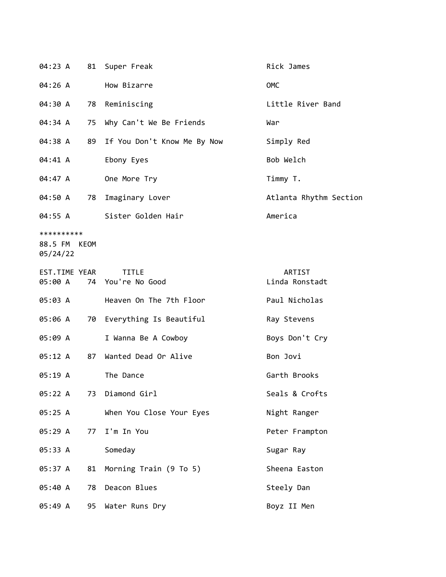| 04:23 A                                |    | 81 Super Freak                    | Rick James                      |
|----------------------------------------|----|-----------------------------------|---------------------------------|
| 04:26 A                                |    | How Bizarre                       | OMC                             |
| 04:30 A                                | 78 | Reminiscing                       | Little River Band               |
| 04:34 A                                |    | 75 Why Can't We Be Friends        | War                             |
| 04:38 A                                |    | 89 If You Don't Know Me By Now    | Simply Red                      |
| 04:41 A                                |    | Ebony Eyes                        | Bob Welch                       |
| 04:47 A                                |    | One More Try                      | Timmy T.                        |
| 04:50 A                                | 78 | Imaginary Lover                   | Atlanta Rhythm Section          |
| 04:55 A                                |    | Sister Golden Hair                | America                         |
| **********<br>88.5 FM KEOM<br>05/24/22 |    |                                   |                                 |
| EST.TIME YEAR<br>05:00 A               |    | <b>TITLE</b><br>74 You're No Good | <b>ARTIST</b><br>Linda Ronstadt |
| 05:03 A                                |    | Heaven On The 7th Floor           | Paul Nicholas                   |
| 05:06 A                                |    | 70 Everything Is Beautiful        | Ray Stevens                     |
| 05:09 A                                |    | I Wanna Be A Cowboy               | Boys Don't Cry                  |
| 05:12 A                                | 87 | Wanted Dead Or Alive              | Bon Jovi                        |
| 05:19 A                                |    | The Dance                         | Garth Brooks                    |
| 05:22 A                                | 73 | Diamond Girl                      | Seals & Crofts                  |
| 05:25 A                                |    | When You Close Your Eyes          | Night Ranger                    |
| 05:29 A                                | 77 | I'm In You                        | Peter Frampton                  |
| 05:33 A                                |    | Someday                           | Sugar Ray                       |
| 05:37 A                                | 81 | Morning Train (9 To 5)            | Sheena Easton                   |
| 05:40 A                                | 78 | Deacon Blues                      | Steely Dan                      |
| 05:49 A                                | 95 | Water Runs Dry                    | Boyz II Men                     |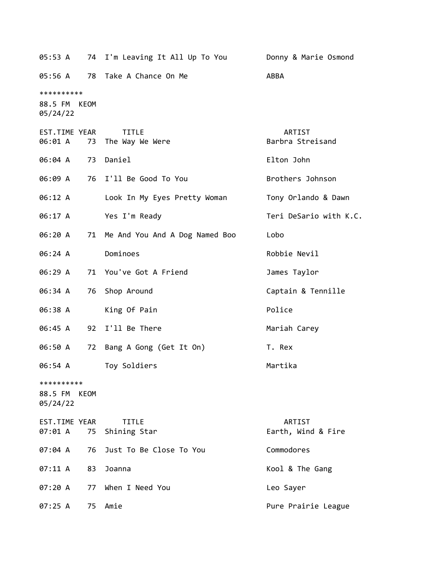| 05:53 A                                |      | 74 I'm Leaving It All Up To You   | Donny & Marie Osmond         |
|----------------------------------------|------|-----------------------------------|------------------------------|
| 05:56 A                                | 78   | Take A Chance On Me               | ABBA                         |
| **********<br>88.5 FM KEOM<br>05/24/22 |      |                                   |                              |
| EST.TIME YEAR<br>06:01 A               | 73   | <b>TITLE</b><br>The Way We Were   | ARTIST<br>Barbra Streisand   |
| 06:04 A                                | 73   | Daniel                            | Elton John                   |
| 06:09 A                                |      | 76 I'll Be Good To You            | Brothers Johnson             |
| 06:12 A                                |      | Look In My Eyes Pretty Woman      | Tony Orlando & Dawn          |
| 06:17 A                                |      | Yes I'm Ready                     | Teri DeSario with K.C.       |
| 06:20 A                                |      | 71 Me And You And A Dog Named Boo | Lobo                         |
| 06:24 A                                |      | Dominoes                          | Robbie Nevil                 |
| 06:29 A                                |      | 71 You've Got A Friend            | James Taylor                 |
| 06:34 A                                | 76   | Shop Around                       | Captain & Tennille           |
| 06:38 A                                |      | King Of Pain                      | Police                       |
| 06:45 A                                |      | 92 I'll Be There                  | Mariah Carey                 |
| 06:50 A                                | 72   | Bang A Gong (Get It On)           | T. Rex                       |
| 06:54 A                                |      | Toy Soldiers                      | Martika                      |
| **********<br>88.5 FM<br>05/24/22      | KEOM |                                   |                              |
| EST.TIME YEAR<br>07:01 A               | 75   | <b>TITLE</b><br>Shining Star      | ARTIST<br>Earth, Wind & Fire |
| 07:04 A                                | 76   | Just To Be Close To You           | Commodores                   |
| 07:11 A                                | 83   | Joanna                            | Kool & The Gang              |
| 07:20A                                 | 77   | When I Need You                   | Leo Sayer                    |
| 07:25 A                                | 75   | Amie                              | Pure Prairie League          |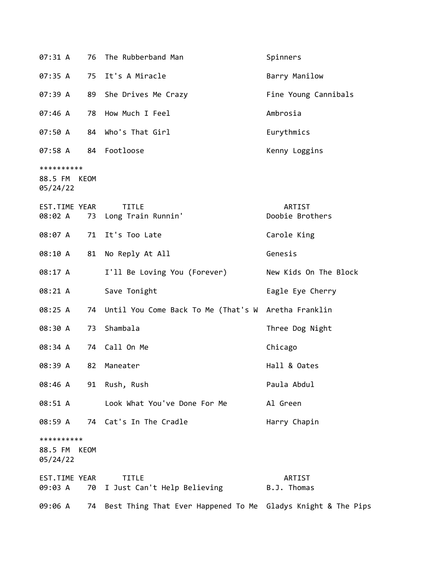| 07:31 A                                | 76 | The Rubberband Man                                                      | Spinners                  |
|----------------------------------------|----|-------------------------------------------------------------------------|---------------------------|
| 07:35 A                                | 75 | It's A Miracle                                                          | Barry Manilow             |
| 07:39 A                                | 89 | She Drives Me Crazy                                                     | Fine Young Cannibals      |
| 07:46 A                                | 78 | How Much I Feel                                                         | Ambrosia                  |
| 07:50 A                                |    | 84 Who's That Girl                                                      | Eurythmics                |
| 07:58 A                                |    | 84 Footloose                                                            | Kenny Loggins             |
| **********<br>88.5 FM KEOM<br>05/24/22 |    |                                                                         |                           |
| EST.TIME YEAR<br>08:02 A               |    | <b>TITLE</b><br>73 Long Train Runnin'                                   | ARTIST<br>Doobie Brothers |
| 08:07 A                                |    | 71 It's Too Late                                                        | Carole King               |
| 08:10 A                                | 81 | No Reply At All                                                         | Genesis                   |
| 08:17 A                                |    | I'll Be Loving You (Forever)                                            | New Kids On The Block     |
| 08:21 A                                |    | Save Tonight                                                            | Eagle Eye Cherry          |
| 08:25 A                                | 74 | Until You Come Back To Me (That's W Aretha Franklin                     |                           |
| 08:30 A                                | 73 | Shambala                                                                | Three Dog Night           |
| 08:34 A                                | 74 | Call On Me                                                              | Chicago                   |
| 08:39 A                                | 82 | Maneater                                                                | Hall & Oates              |
|                                        |    | 08:46 A 91 Rush, Rush                                                   | Paula Abdul               |
| 08:51 A                                |    | Look What You've Done For Me                                            | Al Green                  |
| 08:59 A                                |    | 74 Cat's In The Cradle                                                  | Harry Chapin              |
| **********<br>88.5 FM KEOM<br>05/24/22 |    |                                                                         |                           |
| EST.TIME YEAR<br>09:03 A               |    | <b>TITLE</b><br>70 I Just Can't Help Believing                          | ARTIST<br>B.J. Thomas     |
|                                        |    | 09:06 A 74 Best Thing That Ever Happened To Me Gladys Knight & The Pips |                           |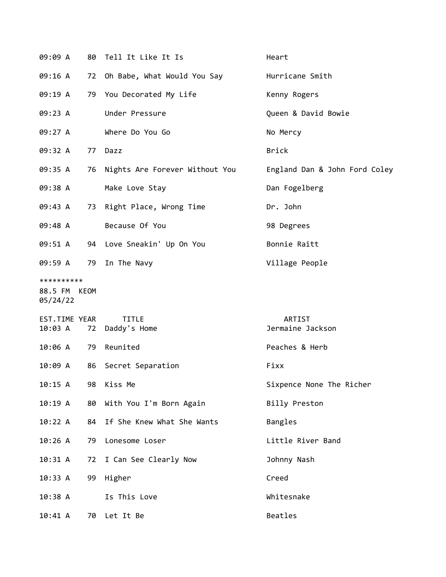| 09:09 A                  |    | 80 Tell It Like It Is                   | Heart                         |
|--------------------------|----|-----------------------------------------|-------------------------------|
| 09:16 A                  |    | 72 Oh Babe, What Would You Say          | Hurricane Smith               |
| 09:19 A                  |    | 79 You Decorated My Life                | Kenny Rogers                  |
| 09:23 A                  |    | Under Pressure                          | Queen & David Bowie           |
| 09:27 A                  |    | Where Do You Go                         | No Mercy                      |
| 09:32 A                  |    | 77 Dazz                                 | <b>Brick</b>                  |
| 09:35 A                  |    | 76 Nights Are Forever Without You       | England Dan & John Ford Coley |
| 09:38 A                  |    | Make Love Stay                          | Dan Fogelberg                 |
| 09:43 A                  |    | 73 Right Place, Wrong Time              | Dr. John                      |
| 09:48 A                  |    | Because Of You                          | 98 Degrees                    |
| 09:51 A                  |    | 94 Love Sneakin' Up On You              | Bonnie Raitt                  |
| 09:59 A                  |    | 79 In The Navy                          | Village People                |
| **********               |    |                                         |                               |
| 88.5 FM KEOM<br>05/24/22 |    |                                         |                               |
| EST.TIME YEAR            |    | <b>TITLE</b><br>10:03 A 72 Daddy's Home | ARTIST<br>Jermaine Jackson    |
| 10:06 A 79 Reunited      |    |                                         | Peaches & Herb                |
| 10:09 A                  |    | 86 Secret Separation                    | Fixx                          |
| 10:15 A                  |    | 98 Kiss Me                              | Sixpence None The Richer      |
| 10:19 A                  | 80 | With You I'm Born Again                 | Billy Preston                 |
| 10:22 A                  | 84 | If She Knew What She Wants              | Bangles                       |
| 10:26A                   | 79 | Lonesome Loser                          | Little River Band             |
| 10:31 A                  | 72 | I Can See Clearly Now                   | Johnny Nash                   |
| 10:33 A                  | 99 | Higher                                  | Creed                         |
| 10:38 A                  |    | Is This Love                            | Whitesnake                    |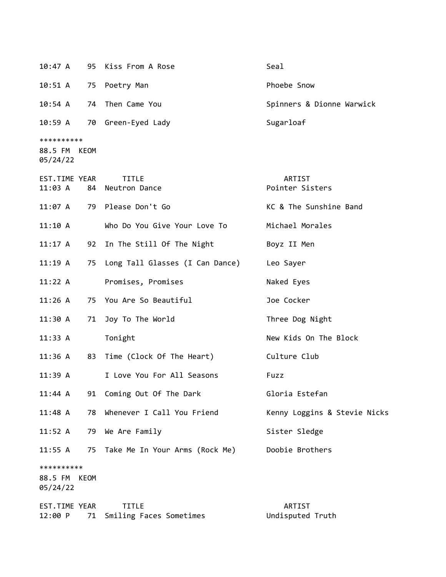| 10:47 A                           |      | 95 Kiss From A Rose                        | Seal                         |
|-----------------------------------|------|--------------------------------------------|------------------------------|
| 10:51 A                           |      | 75 Poetry Man                              | Phoebe Snow                  |
| 10:54 A                           | 74   | Then Came You                              | Spinners & Dionne Warwick    |
| $10:59$ A                         |      | 70 Green-Eyed Lady                         | Sugarloaf                    |
| **********<br>88.5 FM<br>05/24/22 | KEOM |                                            |                              |
| EST.TIME YEAR<br>11:03 A          |      | <b>TITLE</b><br>84 Neutron Dance           | ARTIST<br>Pointer Sisters    |
| 11:07 A                           |      | 79 Please Don't Go                         | KC & The Sunshine Band       |
| 11:10 A                           |      | Who Do You Give Your Love To               | Michael Morales              |
| $11:17$ A                         |      | 92 In The Still Of The Night               | Boyz II Men                  |
| 11:19A                            |      | 75 Long Tall Glasses (I Can Dance)         | Leo Sayer                    |
| 11:22 A                           |      | Promises, Promises                         | Naked Eyes                   |
| 11:26A                            |      | 75 You Are So Beautiful                    | Joe Cocker                   |
| 11:30 A                           | 71   | Joy To The World                           | Three Dog Night              |
| 11:33 A                           |      | Tonight                                    | New Kids On The Block        |
| 11:36 A                           |      | 83 Time (Clock Of The Heart)               | Culture Club                 |
| 11:39 A                           |      | I Love You For All Seasons                 | Fuzz                         |
| 11:44 A                           |      | 91 Coming Out Of The Dark                  | Gloria Estefan               |
| 11:48 A                           | 78   | Whenever I Call You Friend                 | Kenny Loggins & Stevie Nicks |
| 11:52 A                           |      | 79 We Are Family                           | Sister Sledge                |
| 11:55 A                           |      | 75 Take Me In Your Arms (Rock Me)          | Doobie Brothers              |
| **********<br>88.5 FM<br>05/24/22 | KEOM |                                            |                              |
| EST.TIME YEAR<br>12:00 P          |      | <b>TITLE</b><br>71 Smiling Faces Sometimes | ARTIST<br>Undisputed Truth   |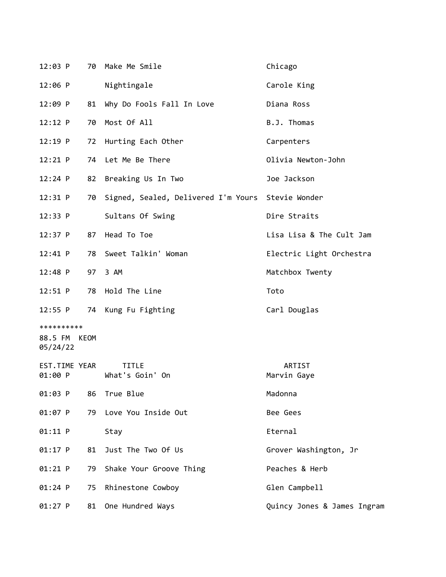| $12:03$ P                |    | 70 Make Me Smile                                  | Chicago                     |
|--------------------------|----|---------------------------------------------------|-----------------------------|
| $12:06$ P                |    | Nightingale                                       | Carole King                 |
| $12:09$ P                | 81 | Why Do Fools Fall In Love                         | Diana Ross                  |
| $12:12$ P                |    | 70 Most Of All                                    | B.J. Thomas                 |
| $12:19$ P                |    | 72 Hurting Each Other                             | Carpenters                  |
| 12:21 P                  |    | 74 Let Me Be There                                | Olivia Newton-John          |
| $12:24$ P                |    | 82 Breaking Us In Two                             | Joe Jackson                 |
| 12:31 P                  | 70 | Signed, Sealed, Delivered I'm Yours Stevie Wonder |                             |
| 12:33 P                  |    | Sultans Of Swing                                  | Dire Straits                |
| $12:37$ P                | 87 | Head To Toe                                       | Lisa Lisa & The Cult Jam    |
| 12:41 P                  |    | 78 Sweet Talkin' Woman                            | Electric Light Orchestra    |
| $12:48$ P                |    | 97 3 AM                                           | Matchbox Twenty             |
| 12:51 P                  |    | 78 Hold The Line                                  | Toto                        |
| 12:55 P                  |    | 74 Kung Fu Fighting                               | Carl Douglas                |
| **********               |    |                                                   |                             |
| 88.5 FM KEOM<br>05/24/22 |    |                                                   |                             |
| EST.TIME YEAR<br>01:00 P |    | <b>TITLE</b><br>What's Goin' On                   | ARTIST<br>Marvin Gaye       |
| 01:03 P                  | 86 | True Blue                                         | Madonna                     |
| 01:07 P                  | 79 | Love You Inside Out                               | Bee Gees                    |
| 01:11 P                  |    | Stay                                              | Eternal                     |
| $01:17$ P                | 81 | Just The Two Of Us                                | Grover Washington, Jr       |
| 01:21 P                  | 79 | Shake Your Groove Thing                           | Peaches & Herb              |
| $01:24$ P                | 75 | Rhinestone Cowboy                                 | Glen Campbell               |
| $01:27$ P                | 81 | One Hundred Ways                                  | Quincy Jones & James Ingram |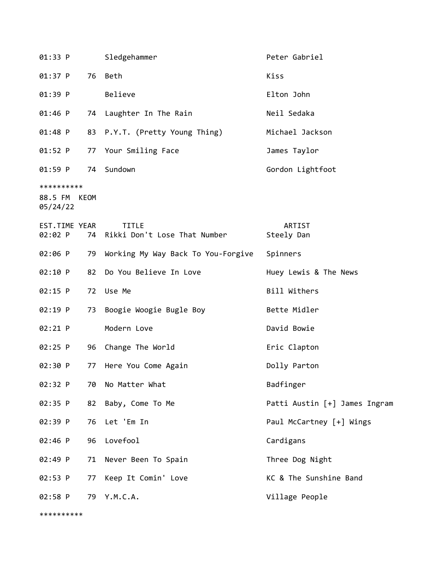| 01:33 P                                |    | Sledgehammer                                 | Peter Gabriel                 |
|----------------------------------------|----|----------------------------------------------|-------------------------------|
| 01:37 P                                |    | 76 Beth                                      | Kiss                          |
| 01:39 P                                |    | Believe                                      | Elton John                    |
| 01:46 P                                |    | 74 Laughter In The Rain                      | Neil Sedaka                   |
| 01:48 P                                |    | 83 P.Y.T. (Pretty Young Thing)               | Michael Jackson               |
| $01:52$ P                              |    | 77 Your Smiling Face                         | James Taylor                  |
| 01:59 P                                |    | 74 Sundown                                   | Gordon Lightfoot              |
| **********<br>88.5 FM KEOM<br>05/24/22 |    |                                              |                               |
| EST.TIME YEAR<br>02:02 P               | 74 | <b>TITLE</b><br>Rikki Don't Lose That Number | ARTIST<br>Steely Dan          |
| 02:06 P                                | 79 | Working My Way Back To You-Forgive           | Spinners                      |
| 02:10 P                                | 82 | Do You Believe In Love                       | Huey Lewis & The News         |
| $02:15$ P                              |    | 72 Use Me                                    | Bill Withers                  |
| 02:19 P                                | 73 | Boogie Woogie Bugle Boy                      | Bette Midler                  |
| $02:21$ P                              |    | Modern Love                                  | David Bowie                   |
| $02:25$ P                              |    | 96 Change The World                          | Eric Clapton                  |
| 02:30 P                                | 77 | Here You Come Again                          | Dolly Parton                  |
| 02:32 P                                | 70 | No Matter What                               | Badfinger                     |
| 02:35 P                                | 82 | Baby, Come To Me                             | Patti Austin [+] James Ingram |
| 02:39 P                                | 76 | Let 'Em In                                   | Paul McCartney [+] Wings      |
| 02:46 P                                | 96 | Lovefool                                     | Cardigans                     |
| 02:49 P                                | 71 | Never Been To Spain                          | Three Dog Night               |
| 02:53 P                                | 77 | Keep It Comin' Love                          | KC & The Sunshine Band        |
| 02:58 P                                |    | 79 Y.M.C.A.                                  | Village People                |

\*\*\*\*\*\*\*\*\*\*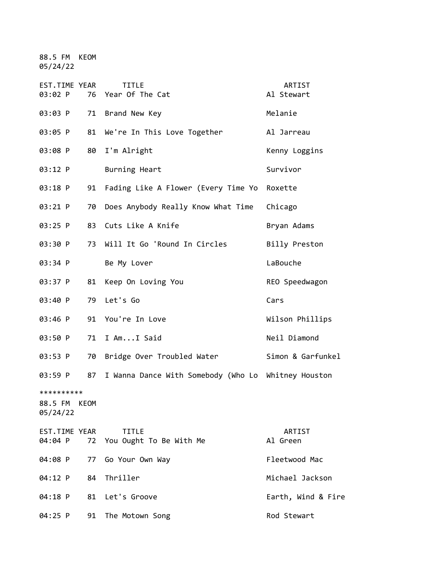88.5 FM KEOM 05/24/22

| EST.TIME YEAR<br>03:02 P          | 76   | <b>TITLE</b><br>Year Of The Cat                     | ARTIST<br>Al Stewart |
|-----------------------------------|------|-----------------------------------------------------|----------------------|
| 03:03 P                           |      | 71 Brand New Key                                    | Melanie              |
| 03:05 P                           | 81   | We're In This Love Together                         | Al Jarreau           |
| 03:08 P                           | 80   | I'm Alright                                         | Kenny Loggins        |
| 03:12 P                           |      | Burning Heart                                       | Survivor             |
| 03:18 P                           | 91   | Fading Like A Flower (Every Time Yo                 | Roxette              |
| 03:21 P                           | 70   | Does Anybody Really Know What Time                  | Chicago              |
| 03:25 P                           | 83   | Cuts Like A Knife                                   | Bryan Adams          |
| 03:30 P                           | 73   | Will It Go 'Round In Circles                        | Billy Preston        |
| 03:34 P                           |      | Be My Lover                                         | LaBouche             |
| 03:37 P                           | 81   | Keep On Loving You                                  | REO Speedwagon       |
| 03:40 P                           | 79   | Let's Go                                            | Cars                 |
| 03:46 P                           | 91   | You're In Love                                      | Wilson Phillips      |
| 03:50 P                           | 71   | I AmI Said                                          | Neil Diamond         |
| 03:53 P                           | 70   | Bridge Over Troubled Water                          | Simon & Garfunkel    |
| 03:59 P                           | 87   | I Wanna Dance With Somebody (Who Lo Whitney Houston |                      |
| **********<br>88.5 FM<br>05/24/22 | KEOM |                                                     |                      |
| EST.TIME YEAR<br>04:04 P          | 72   | <b>TITLE</b><br>You Ought To Be With Me             | ARTIST<br>Al Green   |
| 04:08 P                           | 77   | Go Your Own Way                                     | Fleetwood Mac        |
| 04:12 P                           | 84   | Thriller                                            | Michael Jackson      |
| 04:18 P                           | 81   | Let's Groove                                        | Earth, Wind & Fire   |
| 04:25 P                           | 91   | The Motown Song                                     | Rod Stewart          |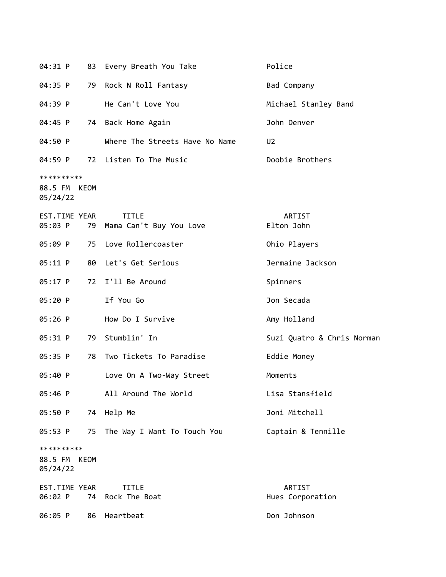| 04:31 P                                   |    | 83 Every Breath You Take                   | Police                     |
|-------------------------------------------|----|--------------------------------------------|----------------------------|
| 04:35 P                                   |    | 79 Rock N Roll Fantasy                     | Bad Company                |
| 04:39 P                                   |    | He Can't Love You                          | Michael Stanley Band       |
| 04:45 P                                   |    | 74 Back Home Again                         | John Denver                |
| 04:50 P                                   |    | Where The Streets Have No Name             | U <sub>2</sub>             |
| 04:59 P                                   |    | 72 Listen To The Music                     | Doobie Brothers            |
| **********<br>88.5 FM KEOM<br>05/24/22    |    |                                            |                            |
| EST.TIME YEAR<br>05:03 P                  |    | <b>TITLE</b><br>79 Mama Can't Buy You Love | ARTIST<br>Elton John       |
| 05:09 P                                   |    | 75 Love Rollercoaster                      | Ohio Players               |
| 05:11 P                                   |    | 80 Let's Get Serious                       | Jermaine Jackson           |
| $05:17$ P                                 |    | 72 I'll Be Around                          | Spinners                   |
| 05:20 P                                   |    | If You Go                                  | Jon Secada                 |
| 05:26 P                                   |    | How Do I Survive                           | Amy Holland                |
| 05:31 P                                   | 79 | Stumblin' In                               | Suzi Quatro & Chris Norman |
| 05:35 P                                   |    | 78 Two Tickets To Paradise                 | Eddie Money                |
| 05:40 P                                   |    | Love On A Two-Way Street                   | Moments                    |
| 05:46 P                                   |    | All Around The World                       | Lisa Stansfield            |
| 05:50 P                                   |    | 74 Help Me                                 | Joni Mitchell              |
| 05:53 P                                   |    | 75 The Way I Want To Touch You             | Captain & Tennille         |
| **********<br>88.5 FM<br>KEOM<br>05/24/22 |    |                                            |                            |
| EST.TIME YEAR<br>06:02 P                  | 74 | <b>TITLE</b><br>Rock The Boat              | ARTIST<br>Hues Corporation |
| 06:05 P                                   |    | 86 Heartbeat                               | Don Johnson                |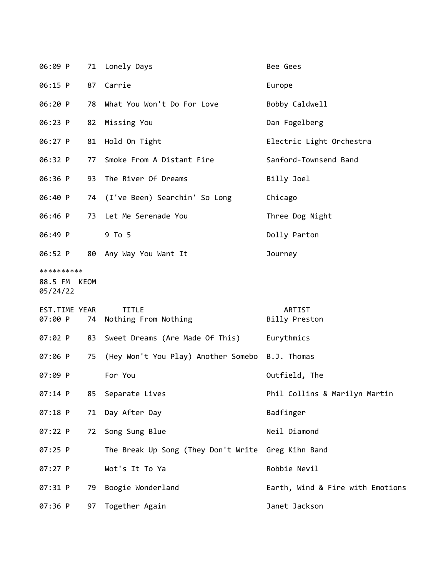| 06:09 P                                |    | 71 Lonely Days                                     | Bee Gees                         |  |
|----------------------------------------|----|----------------------------------------------------|----------------------------------|--|
| 06:15 P                                |    | 87 Carrie                                          | Europe                           |  |
| 06:20 P                                |    | 78 What You Won't Do For Love                      | Bobby Caldwell                   |  |
| 06:23 P                                |    | 82 Missing You                                     | Dan Fogelberg                    |  |
| 06:27 P                                |    | 81 Hold On Tight                                   | Electric Light Orchestra         |  |
| 06:32 P                                | 77 | Smoke From A Distant Fire                          | Sanford-Townsend Band            |  |
| 06:36 P                                |    | 93 The River Of Dreams                             | Billy Joel                       |  |
| 06:40 P                                |    | 74 (I've Been) Searchin' So Long                   | Chicago                          |  |
| 06:46 P                                |    | 73 Let Me Serenade You                             | Three Dog Night                  |  |
| 06:49 P                                |    | 9 To 5                                             | Dolly Parton                     |  |
| 06:52 P                                |    | 80 Any Way You Want It                             | Journey                          |  |
| **********<br>88.5 FM KEOM<br>05/24/22 |    |                                                    |                                  |  |
| EST.TIME YEAR<br>07:00 P               | 74 | <b>TITLE</b><br>Nothing From Nothing               | ARTIST<br>Billy Preston          |  |
| 07:02 P                                | 83 | Sweet Dreams (Are Made Of This)                    | Eurythmics                       |  |
| 07:06 P                                | 75 | (Hey Won't You Play) Another Somebo B.J. Thomas    |                                  |  |
| 07:09 P                                |    | For You                                            | Outfield, The                    |  |
| $07:14$ P                              | 85 | Separate Lives                                     | Phil Collins & Marilyn Martin    |  |
| $07:18$ P                              | 71 | Day After Day                                      | Badfinger                        |  |
| 07:22 P                                | 72 | Song Sung Blue                                     | Neil Diamond                     |  |
| 07:25 P                                |    | The Break Up Song (They Don't Write Greg Kihn Band |                                  |  |
| 07:27 P                                |    | Wot's It To Ya                                     | Robbie Nevil                     |  |
| 07:31 P                                | 79 | Boogie Wonderland                                  | Earth, Wind & Fire with Emotions |  |
| 07:36 P                                |    | 97 Together Again                                  | Janet Jackson                    |  |
|                                        |    |                                                    |                                  |  |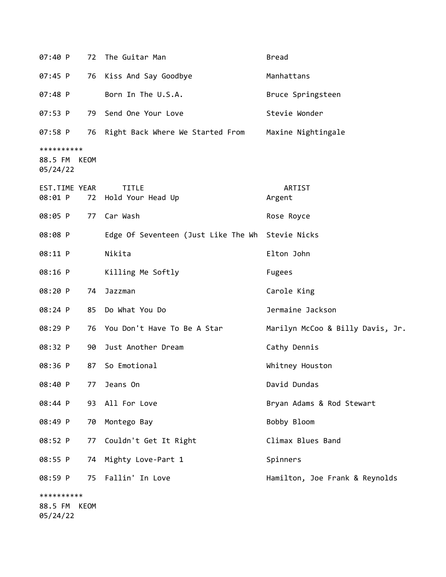| 07:40 P                  |    | 72 The Guitar Man                                | <b>Bread</b>                     |
|--------------------------|----|--------------------------------------------------|----------------------------------|
| $07:45$ P                | 76 | Kiss And Say Goodbye                             | Manhattans                       |
| 07:48 P                  |    | Born In The U.S.A.                               | Bruce Springsteen                |
| 07:53 P                  | 79 | Send One Your Love                               | Stevie Wonder                    |
| 07:58 P                  |    | 76 Right Back Where We Started From              | Maxine Nightingale               |
| **********               |    |                                                  |                                  |
| 88.5 FM KEOM<br>05/24/22 |    |                                                  |                                  |
| EST.TIME YEAR            |    | <b>TITLE</b>                                     | ARTIST                           |
| 08:01 P                  |    | 72 Hold Your Head Up                             | Argent                           |
| 08:05 P                  | 77 | Car Wash                                         | Rose Royce                       |
| 08:08 P                  |    | Edge Of Seventeen (Just Like The Wh Stevie Nicks |                                  |
| 08:11 P                  |    | Nikita                                           | Elton John                       |
| 08:16 P                  |    | Killing Me Softly                                | <b>Fugees</b>                    |
| 08:20 P                  | 74 | Jazzman                                          | Carole King                      |
| 08:24 P                  |    | 85 Do What You Do                                | Jermaine Jackson                 |
| 08:29 P                  | 76 | You Don't Have To Be A Star                      | Marilyn McCoo & Billy Davis, Jr. |
| 08:32 P                  | 90 | Just Another Dream                               | Cathy Dennis                     |
| 08:36 P                  | 87 | So Emotional                                     | Whitney Houston                  |
| 08:40 P                  | 77 | Jeans On                                         | David Dundas                     |
| 08:44 P                  | 93 | All For Love                                     | Bryan Adams & Rod Stewart        |
| 08:49 P                  | 70 | Montego Bay                                      | Bobby Bloom                      |
| 08:52 P                  | 77 | Couldn't Get It Right                            | Climax Blues Band                |
| 08:55 P                  | 74 | Mighty Love-Part 1                               | Spinners                         |
| 08:59 P                  | 75 | Fallin' In Love                                  | Hamilton, Joe Frank & Reynolds   |
| **********               |    |                                                  |                                  |
| 88.5 FM KEOM<br>05/24/22 |    |                                                  |                                  |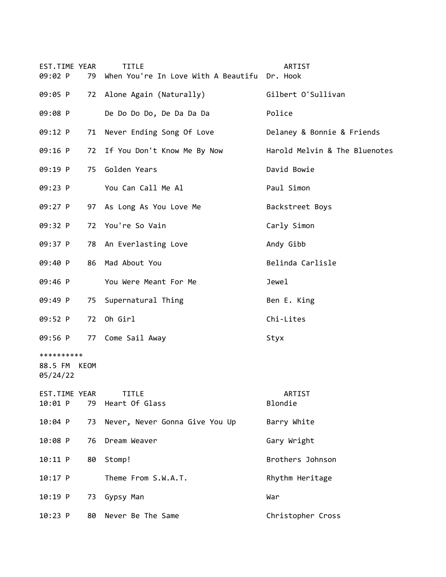| EST.TIME YEAR<br>09:02 P               | 79 | <b>TITLE</b><br>When You're In Love With A Beautifu Dr. Hook | ARTIST                        |
|----------------------------------------|----|--------------------------------------------------------------|-------------------------------|
| 09:05 P                                |    | 72 Alone Again (Naturally)                                   | Gilbert O'Sullivan            |
| 09:08 P                                |    | De Do Do Do, De Da Da Da                                     | Police                        |
| 09:12 P                                | 71 | Never Ending Song Of Love                                    | Delaney & Bonnie & Friends    |
| 09:16 P                                |    | 72 If You Don't Know Me By Now                               | Harold Melvin & The Bluenotes |
| 09:19 P                                | 75 | Golden Years                                                 | David Bowie                   |
| 09:23 P                                |    | You Can Call Me Al                                           | Paul Simon                    |
| 09:27 P                                |    | 97 As Long As You Love Me                                    | Backstreet Boys               |
| 09:32 P                                |    | 72 You're So Vain                                            | Carly Simon                   |
| 09:37 P                                |    | 78 An Everlasting Love                                       | Andy Gibb                     |
| 09:40 P                                | 86 | Mad About You                                                | Belinda Carlisle              |
| 09:46 P                                |    | You Were Meant For Me                                        | Jewel                         |
| 09:49 P                                | 75 | Supernatural Thing                                           | Ben E. King                   |
| 09:52 P                                | 72 | Oh Girl                                                      | Chi-Lites                     |
| 09:56 P                                |    | 77 Come Sail Away                                            | Styx                          |
| **********<br>88.5 FM KEOM<br>05/24/22 |    |                                                              |                               |
| EST.TIME YEAR<br>10:01 P               | 79 | <b>TITLE</b><br>Heart Of Glass                               | ARTIST<br>Blondie             |
| 10:04 P                                | 73 | Never, Never Gonna Give You Up                               | Barry White                   |
| 10:08 P                                | 76 | Dream Weaver                                                 | Gary Wright                   |
| 10:11 P                                | 80 | Stomp!                                                       | Brothers Johnson              |
| $10:17$ P                              |    | Theme From S.W.A.T.                                          | Rhythm Heritage               |
| 10:19 P                                |    | 73 Gypsy Man                                                 | War                           |
| $10:23$ P                              | 80 | Never Be The Same                                            | Christopher Cross             |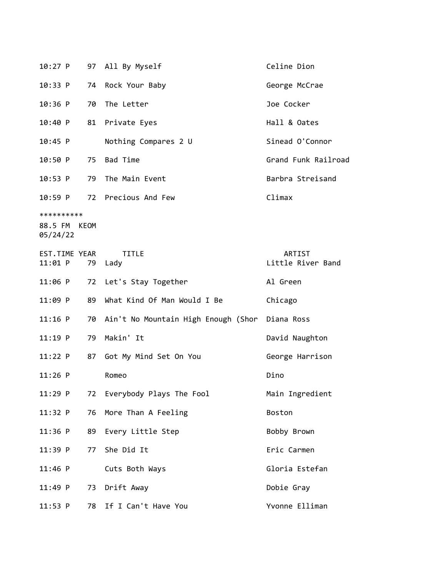|           |  | 10:27 P 97 All By Myself  | Celine Dion         |
|-----------|--|---------------------------|---------------------|
|           |  | 10:33 P 74 Rock Your Baby | George McCrae       |
| $10:36$ P |  | 70 The Letter             | Joe Cocker          |
|           |  | 10:40 P 81 Private Eyes   | Hall & Oates        |
| $10:45$ P |  | Nothing Compares 2 U      | Sinead O'Connor     |
|           |  | 10:50 P 75 Bad Time       | Grand Funk Railroad |
| $10:53$ P |  | 79 The Main Event         | Barbra Streisand    |
| $10:59$ P |  | 72 Precious And Few       | Climax              |

\*\*\*\*\*\*\*\*\*\*

88.5 FM KEOM 05/24/22

| EST.TIME YEAR<br>11:01 P | 79 | <b>TITLE</b><br>Lady                   | <b>ARTIST</b><br>Little River Band |
|--------------------------|----|----------------------------------------|------------------------------------|
| 11:06 P                  |    | 72 Let's Stay Together                 | Al Green                           |
| 11:09 P                  | 89 | What Kind Of Man Would I Be            | Chicago                            |
| $11:16$ P                |    | 70 Ain't No Mountain High Enough (Shor | Diana Ross                         |
| $11:19$ P                |    | 79 Makin' It                           | David Naughton                     |
| 11:22 P                  |    | 87 Got My Mind Set On You              | George Harrison                    |
| $11:26$ P                |    | Romeo                                  | Dino                               |
| $11:29$ P                |    | 72 Everybody Plays The Fool            | Main Ingredient                    |
| 11:32 P                  | 76 | More Than A Feeling                    | <b>Boston</b>                      |
| $11:36$ P                |    | 89 Every Little Step                   | Bobby Brown                        |
| 11:39 P                  | 77 | She Did It                             | Eric Carmen                        |
| $11:46$ P                |    | Cuts Both Ways                         | Gloria Estefan                     |
| $11:49$ P                |    | 73 Drift Away                          | Dobie Gray                         |
| 11:53 P                  | 78 | If I Can't Have You                    | Yvonne Elliman                     |